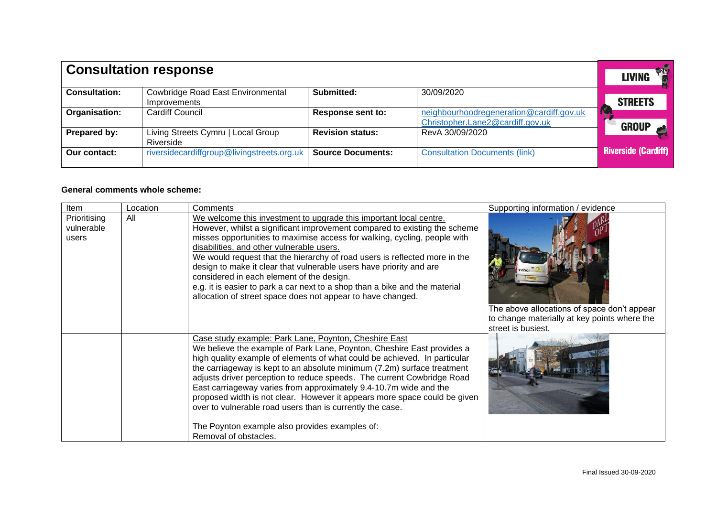|                      | <b>Consultation response</b>                             |                          |                                                                              | <b>AV</b><br><b>LIVING</b> |
|----------------------|----------------------------------------------------------|--------------------------|------------------------------------------------------------------------------|----------------------------|
| <b>Consultation:</b> | <b>Cowbridge Road East Environmental</b><br>Improvements | Submitted:               | 30/09/2020                                                                   | <b>STREETS</b>             |
| Organisation:        | Cardiff Council                                          | <b>Response sent to:</b> | neighbourhoodregeneration@cardiff.gov.uk<br>Christopher.Lane2@cardiff.gov.uk | <b>GROUP</b>               |
| Prepared by:         | Living Streets Cymru   Local Group<br>Riverside          | <b>Revision status:</b>  | RevA 30/09/2020                                                              |                            |
| Our contact:         | riversidecardiffgroup@livingstreets.org.uk               | <b>Source Documents:</b> | <b>Consultation Documents (link)</b>                                         | <b>Riverside (Cardiff)</b> |

## **General comments whole scheme:**

| Item                                | Location | Comments                                                                                                                                                                                                                                                                                                                                                                                                                                                                                                                                                                                                                                                    | Supporting information / evidence                                                                                 |
|-------------------------------------|----------|-------------------------------------------------------------------------------------------------------------------------------------------------------------------------------------------------------------------------------------------------------------------------------------------------------------------------------------------------------------------------------------------------------------------------------------------------------------------------------------------------------------------------------------------------------------------------------------------------------------------------------------------------------------|-------------------------------------------------------------------------------------------------------------------|
| Prioritising<br>vulnerable<br>users | All      | We welcome this investment to upgrade this important local centre.<br>However, whilst a significant improvement compared to existing the scheme<br>misses opportunities to maximise access for walking, cycling, people with<br>disabilities, and other vulnerable users.<br>We would request that the hierarchy of road users is reflected more in the<br>design to make it clear that vulnerable users have priority and are<br>considered in each element of the design.<br>e.g. it is easier to park a car next to a shop than a bike and the material<br>allocation of street space does not appear to have changed.                                   | The above allocations of space don't appear<br>to change materially at key points where the<br>street is busiest. |
|                                     |          | Case study example: Park Lane, Poynton, Cheshire East<br>We believe the example of Park Lane, Poynton, Cheshire East provides a<br>high quality example of elements of what could be achieved. In particular<br>the carriageway is kept to an absolute minimum (7.2m) surface treatment<br>adjusts driver perception to reduce speeds. The current Cowbridge Road<br>East carriageway varies from approximately 9.4-10.7m wide and the<br>proposed width is not clear. However it appears more space could be given<br>over to vulnerable road users than is currently the case.<br>The Poynton example also provides examples of:<br>Removal of obstacles. |                                                                                                                   |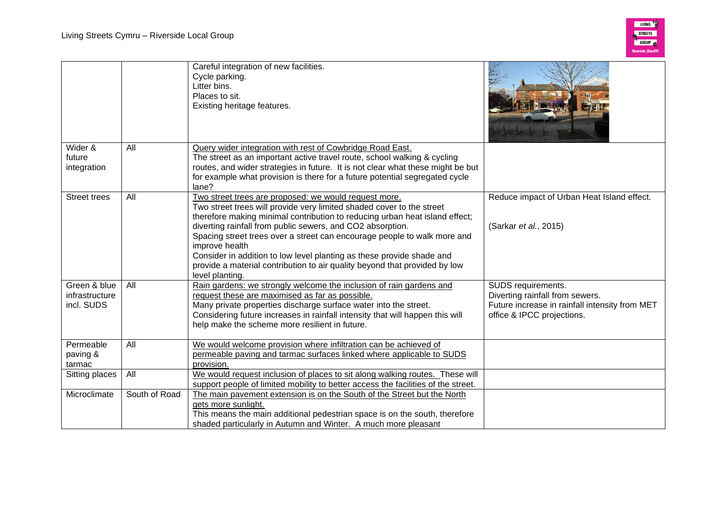

|                                              |               | Careful integration of new facilities.<br>Cycle parking.<br>Litter bins.<br>Places to sit.<br>Existing heritage features.                                                                                                                                                                                                                                                                                                                                                                                                                           |                                                                                                                                       |
|----------------------------------------------|---------------|-----------------------------------------------------------------------------------------------------------------------------------------------------------------------------------------------------------------------------------------------------------------------------------------------------------------------------------------------------------------------------------------------------------------------------------------------------------------------------------------------------------------------------------------------------|---------------------------------------------------------------------------------------------------------------------------------------|
| Wider &<br>future<br>integration             | All           | Query wider integration with rest of Cowbridge Road East.<br>The street as an important active travel route, school walking & cycling<br>routes, and wider strategies in future. It is not clear what these might be but<br>for example what provision is there for a future potential segregated cycle<br>lane?                                                                                                                                                                                                                                    |                                                                                                                                       |
| <b>Street trees</b>                          | All           | Two street trees are proposed: we would request more.<br>Two street trees will provide very limited shaded cover to the street<br>therefore making minimal contribution to reducing urban heat island effect;<br>diverting rainfall from public sewers, and CO2 absorption.<br>Spacing street trees over a street can encourage people to walk more and<br>improve health<br>Consider in addition to low level planting as these provide shade and<br>provide a material contribution to air quality beyond that provided by low<br>level planting. | Reduce impact of Urban Heat Island effect.<br>(Sarkar et al., 2015)                                                                   |
| Green & blue<br>infrastructure<br>incl. SUDS | All           | Rain gardens: we strongly welcome the inclusion of rain gardens and<br>request these are maximised as far as possible.<br>Many private properties discharge surface water into the street.<br>Considering future increases in rainfall intensity that will happen this will<br>help make the scheme more resilient in future.                                                                                                                                                                                                                       | SUDS requirements.<br>Diverting rainfall from sewers.<br>Future increase in rainfall intensity from MET<br>office & IPCC projections. |
| Permeable<br>paving &<br>tarmac              | All           | We would welcome provision where infiltration can be achieved of<br>permeable paving and tarmac surfaces linked where applicable to SUDS<br>provision.                                                                                                                                                                                                                                                                                                                                                                                              |                                                                                                                                       |
| Sitting places                               | All           | We would request inclusion of places to sit along walking routes. These will<br>support people of limited mobility to better access the facilities of the street.                                                                                                                                                                                                                                                                                                                                                                                   |                                                                                                                                       |
| Microclimate                                 | South of Road | The main pavement extension is on the South of the Street but the North<br>gets more sunlight.<br>This means the main additional pedestrian space is on the south, therefore<br>shaded particularly in Autumn and Winter. A much more pleasant                                                                                                                                                                                                                                                                                                      |                                                                                                                                       |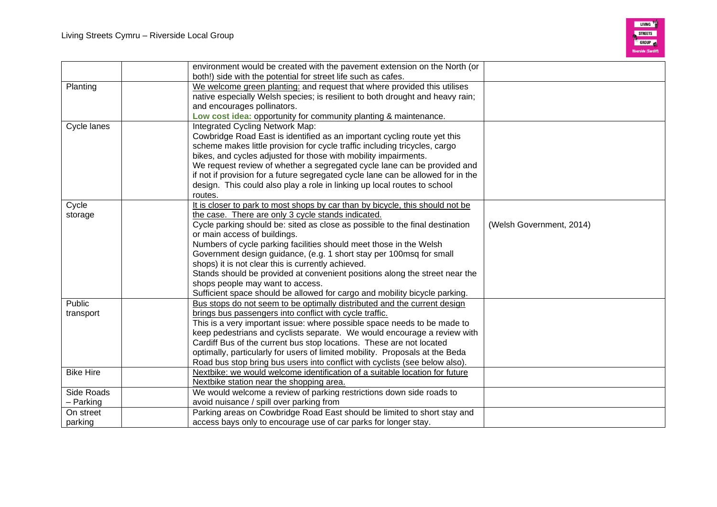

| environment would be created with the pavement extension on the North (or                                |  |
|----------------------------------------------------------------------------------------------------------|--|
|                                                                                                          |  |
| both!) side with the potential for street life such as cafes.                                            |  |
| We welcome green planting: and request that where provided this utilises<br>Planting                     |  |
| native especially Welsh species; is resilient to both drought and heavy rain;                            |  |
| and encourages pollinators.                                                                              |  |
| Low cost idea: opportunity for community planting & maintenance.                                         |  |
| Integrated Cycling Network Map:<br>Cycle lanes                                                           |  |
| Cowbridge Road East is identified as an important cycling route yet this                                 |  |
| scheme makes little provision for cycle traffic including tricycles, cargo                               |  |
| bikes, and cycles adjusted for those with mobility impairments.                                          |  |
| We request review of whether a segregated cycle lane can be provided and                                 |  |
| if not if provision for a future segregated cycle lane can be allowed for in the                         |  |
| design. This could also play a role in linking up local routes to school                                 |  |
| routes.                                                                                                  |  |
| Cycle<br>It is closer to park to most shops by car than by bicycle, this should not be                   |  |
| the case. There are only 3 cycle stands indicated.<br>storage                                            |  |
| Cycle parking should be: sited as close as possible to the final destination<br>(Welsh Government, 2014) |  |
| or main access of buildings.                                                                             |  |
| Numbers of cycle parking facilities should meet those in the Welsh                                       |  |
| Government design guidance, (e.g. 1 short stay per 100msq for small                                      |  |
| shops) it is not clear this is currently achieved.                                                       |  |
| Stands should be provided at convenient positions along the street near the                              |  |
| shops people may want to access.                                                                         |  |
| Sufficient space should be allowed for cargo and mobility bicycle parking.                               |  |
| Bus stops do not seem to be optimally distributed and the current design<br>Public                       |  |
| brings bus passengers into conflict with cycle traffic.<br>transport                                     |  |
| This is a very important issue: where possible space needs to be made to                                 |  |
| keep pedestrians and cyclists separate. We would encourage a review with                                 |  |
| Cardiff Bus of the current bus stop locations. These are not located                                     |  |
| optimally, particularly for users of limited mobility. Proposals at the Beda                             |  |
| Road bus stop bring bus users into conflict with cyclists (see below also).                              |  |
| Nextbike: we would welcome identification of a suitable location for future<br><b>Bike Hire</b>          |  |
| Nextbike station near the shopping area.                                                                 |  |
| Side Roads<br>We would welcome a review of parking restrictions down side roads to                       |  |
| avoid nuisance / spill over parking from<br>- Parking                                                    |  |
| Parking areas on Cowbridge Road East should be limited to short stay and<br>On street                    |  |
| access bays only to encourage use of car parks for longer stay.<br>parking                               |  |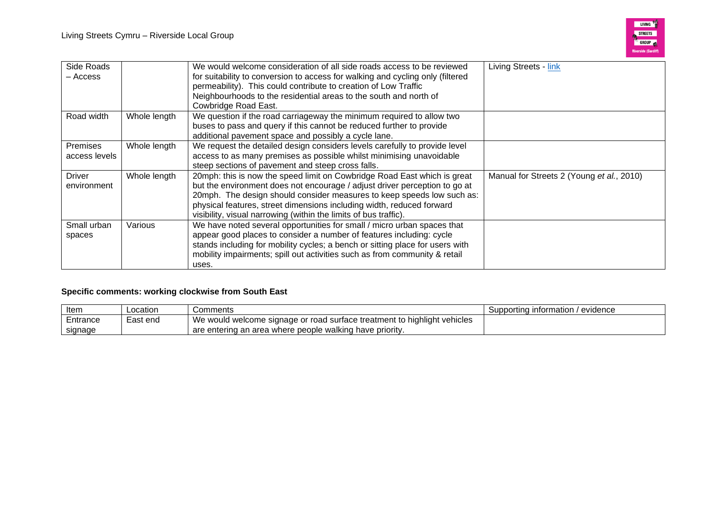

| Side Roads<br>– Access           |              | We would welcome consideration of all side roads access to be reviewed<br>for suitability to conversion to access for walking and cycling only (filtered<br>permeability). This could contribute to creation of Low Traffic<br>Neighbourhoods to the residential areas to the south and north of<br>Cowbridge Road East.                                                      | Living Streets - link                     |
|----------------------------------|--------------|-------------------------------------------------------------------------------------------------------------------------------------------------------------------------------------------------------------------------------------------------------------------------------------------------------------------------------------------------------------------------------|-------------------------------------------|
| Road width                       | Whole length | We question if the road carriageway the minimum required to allow two<br>buses to pass and query if this cannot be reduced further to provide<br>additional pavement space and possibly a cycle lane.                                                                                                                                                                         |                                           |
| <b>Premises</b><br>access levels | Whole length | We request the detailed design considers levels carefully to provide level<br>access to as many premises as possible whilst minimising unavoidable<br>steep sections of pavement and steep cross falls.                                                                                                                                                                       |                                           |
| <b>Driver</b><br>environment     | Whole length | 20mph: this is now the speed limit on Cowbridge Road East which is great<br>but the environment does not encourage / adjust driver perception to go at<br>20mph. The design should consider measures to keep speeds low such as:<br>physical features, street dimensions including width, reduced forward<br>visibility, visual narrowing (within the limits of bus traffic). | Manual for Streets 2 (Young et al., 2010) |
| Small urban<br>spaces            | Various      | We have noted several opportunities for small / micro urban spaces that<br>appear good places to consider a number of features including: cycle<br>stands including for mobility cycles; a bench or sitting place for users with<br>mobility impairments; spill out activities such as from community & retail<br>uses.                                                       |                                           |

# **Specific comments: working clockwise from South East**

| Item     | ∟ocation | Comments                                                                 | Supporting information<br>∟/ evidence |
|----------|----------|--------------------------------------------------------------------------|---------------------------------------|
| Entrance | East end | We would welcome signage or road surface treatment to highlight vehicles |                                       |
| signage  |          | are entering an area where people walking have priority.                 |                                       |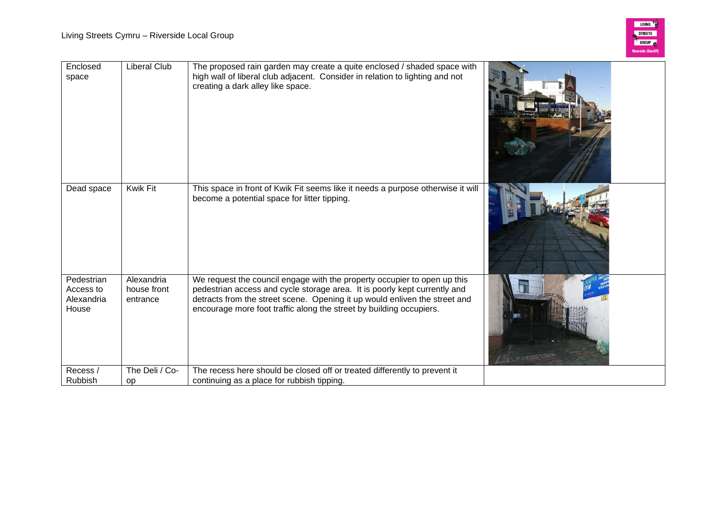

| Enclosed<br>space                              | <b>Liberal Club</b>                   | The proposed rain garden may create a quite enclosed / shaded space with<br>high wall of liberal club adjacent. Consider in relation to lighting and not<br>creating a dark alley like space.                                                                                                              |  |
|------------------------------------------------|---------------------------------------|------------------------------------------------------------------------------------------------------------------------------------------------------------------------------------------------------------------------------------------------------------------------------------------------------------|--|
| Dead space                                     | <b>Kwik Fit</b>                       | This space in front of Kwik Fit seems like it needs a purpose otherwise it will<br>become a potential space for litter tipping.                                                                                                                                                                            |  |
| Pedestrian<br>Access to<br>Alexandria<br>House | Alexandria<br>house front<br>entrance | We request the council engage with the property occupier to open up this<br>pedestrian access and cycle storage area. It is poorly kept currently and<br>detracts from the street scene. Opening it up would enliven the street and<br>encourage more foot traffic along the street by building occupiers. |  |
| Recess /<br>Rubbish                            | The Deli / Co-<br>op                  | The recess here should be closed off or treated differently to prevent it<br>continuing as a place for rubbish tipping.                                                                                                                                                                                    |  |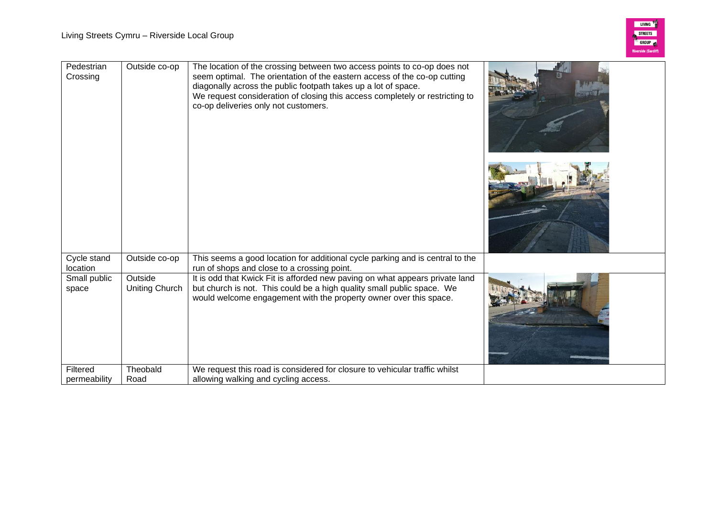

| Pedestrian<br>Crossing  | Outside co-op             | The location of the crossing between two access points to co-op does not<br>seem optimal. The orientation of the eastern access of the co-op cutting<br>diagonally across the public footpath takes up a lot of space.<br>We request consideration of closing this access completely or restricting to<br>co-op deliveries only not customers. |  |
|-------------------------|---------------------------|------------------------------------------------------------------------------------------------------------------------------------------------------------------------------------------------------------------------------------------------------------------------------------------------------------------------------------------------|--|
| Cycle stand<br>location | Outside co-op             | This seems a good location for additional cycle parking and is central to the<br>run of shops and close to a crossing point.                                                                                                                                                                                                                   |  |
| Small public<br>space   | Outside<br>Uniting Church | It is odd that Kwick Fit is afforded new paving on what appears private land<br>but church is not. This could be a high quality small public space. We<br>would welcome engagement with the property owner over this space.                                                                                                                    |  |
| Filtered                | Theobald<br>Road          | We request this road is considered for closure to vehicular traffic whilst                                                                                                                                                                                                                                                                     |  |
| permeability            |                           | allowing walking and cycling access.                                                                                                                                                                                                                                                                                                           |  |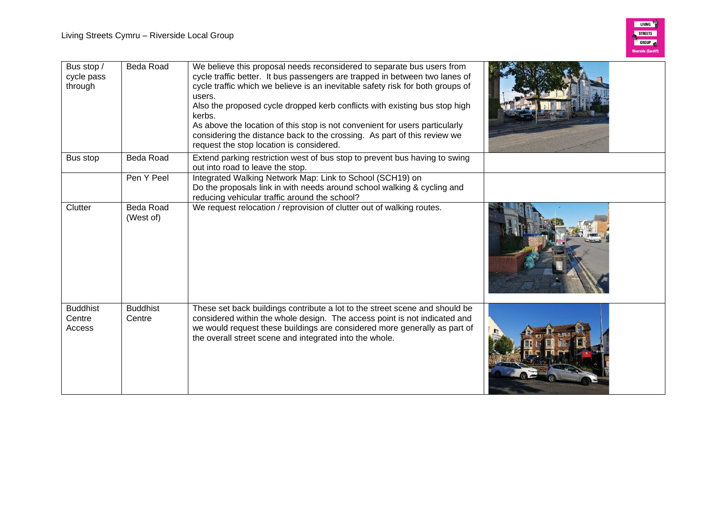

| Bus stop /<br>cycle pass<br>through | <b>Beda Road</b>              | We believe this proposal needs reconsidered to separate bus users from<br>cycle traffic better. It bus passengers are trapped in between two lanes of<br>cycle traffic which we believe is an inevitable safety risk for both groups of<br>users.<br>Also the proposed cycle dropped kerb conflicts with existing bus stop high<br>kerbs. |  |
|-------------------------------------|-------------------------------|-------------------------------------------------------------------------------------------------------------------------------------------------------------------------------------------------------------------------------------------------------------------------------------------------------------------------------------------|--|
|                                     |                               | As above the location of this stop is not convenient for users particularly<br>considering the distance back to the crossing. As part of this review we<br>request the stop location is considered.                                                                                                                                       |  |
| Bus stop                            | Beda Road                     | Extend parking restriction west of bus stop to prevent bus having to swing<br>out into road to leave the stop.                                                                                                                                                                                                                            |  |
|                                     | Pen Y Peel                    | Integrated Walking Network Map: Link to School (SCH19) on<br>Do the proposals link in with needs around school walking & cycling and<br>reducing vehicular traffic around the school?                                                                                                                                                     |  |
| Clutter                             | <b>Beda Road</b><br>(West of) | We request relocation / reprovision of clutter out of walking routes.                                                                                                                                                                                                                                                                     |  |
| <b>Buddhist</b><br>Centre<br>Access | <b>Buddhist</b><br>Centre     | These set back buildings contribute a lot to the street scene and should be<br>considered within the whole design. The access point is not indicated and<br>we would request these buildings are considered more generally as part of<br>the overall street scene and integrated into the whole.                                          |  |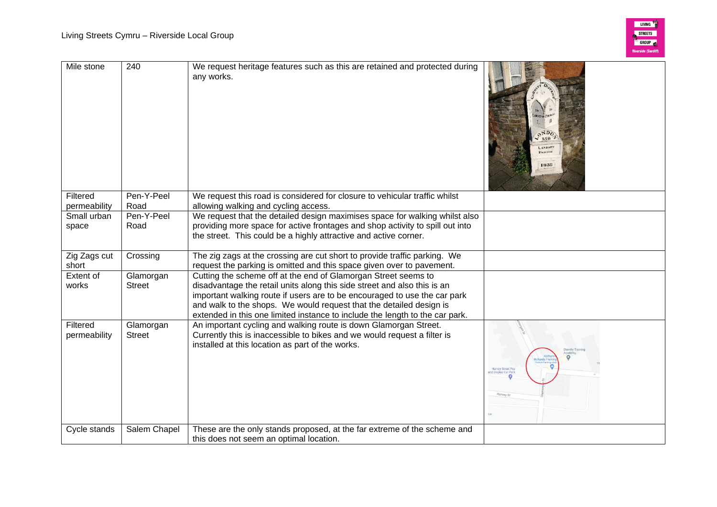

| Mile stone               | 240                        | We request heritage features such as this are retained and protected during<br>any works.                                                                                                                                                                                                                                                                                      | 159<br>ANDATI<br>PARISE<br>1835                               |
|--------------------------|----------------------------|--------------------------------------------------------------------------------------------------------------------------------------------------------------------------------------------------------------------------------------------------------------------------------------------------------------------------------------------------------------------------------|---------------------------------------------------------------|
| Filtered<br>permeability | Pen-Y-Peel<br>Road         | We request this road is considered for closure to vehicular traffic whilst<br>allowing walking and cycling access.                                                                                                                                                                                                                                                             |                                                               |
| Small urban<br>space     | Pen-Y-Peel<br>Road         | We request that the detailed design maximises space for walking whilst also<br>providing more space for active frontages and shop activity to spill out into<br>the street. This could be a highly attractive and active corner.                                                                                                                                               |                                                               |
| Zig Zags cut<br>short    | Crossing                   | The zig zags at the crossing are cut short to provide traffic parking. We<br>request the parking is omitted and this space given over to pavement.                                                                                                                                                                                                                             |                                                               |
| Extent of<br>works       | Glamorgan<br><b>Street</b> | Cutting the scheme off at the end of Glamorgan Street seems to<br>disadvantage the retail units along this side street and also this is an<br>important walking route if users are to be encouraged to use the car park<br>and walk to the shops. We would request that the detailed design is<br>extended in this one limited instance to include the length to the car park. |                                                               |
| Filtered<br>permeability | Glamorgan<br><b>Street</b> | An important cycling and walking route is down Glamorgan Street.<br>Currently this is inaccessible to bikes and we would request a filter is<br>installed at this location as part of the works.                                                                                                                                                                               | <b>Harvey Street Pay</b><br>and Display Car Park<br>Harvey St |
| Cycle stands             | Salem Chapel               | These are the only stands proposed, at the far extreme of the scheme and<br>this does not seem an optimal location.                                                                                                                                                                                                                                                            |                                                               |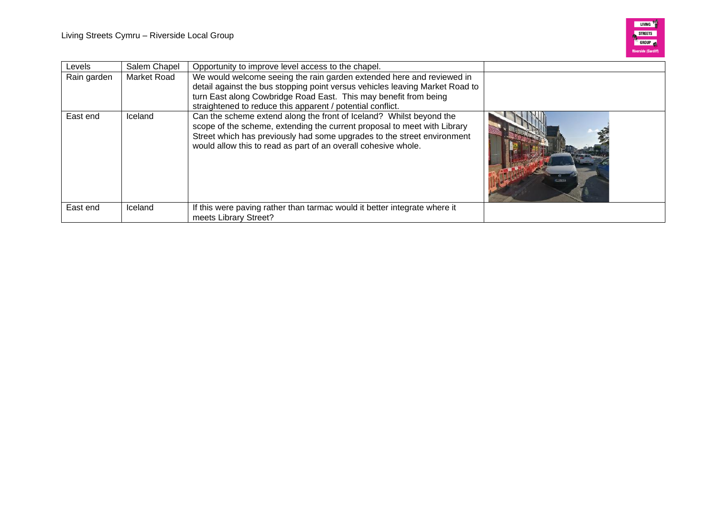

| Levels      | Salem Chapel | Opportunity to improve level access to the chapel.                                                                                                                                                                                                                                           |  |
|-------------|--------------|----------------------------------------------------------------------------------------------------------------------------------------------------------------------------------------------------------------------------------------------------------------------------------------------|--|
| Rain garden | Market Road  | We would welcome seeing the rain garden extended here and reviewed in<br>detail against the bus stopping point versus vehicles leaving Market Road to<br>turn East along Cowbridge Road East. This may benefit from being<br>straightened to reduce this apparent / potential conflict.      |  |
| East end    | Iceland      | Can the scheme extend along the front of Iceland? Whilst beyond the<br>scope of the scheme, extending the current proposal to meet with Library<br>Street which has previously had some upgrades to the street environment<br>would allow this to read as part of an overall cohesive whole. |  |
| East end    | Iceland      | If this were paving rather than tarmac would it better integrate where it<br>meets Library Street?                                                                                                                                                                                           |  |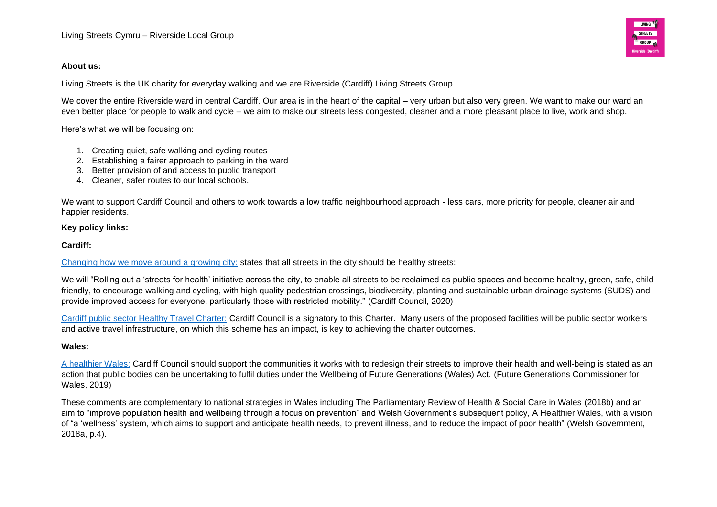#### **About us:**

Living Streets is the UK charity for everyday walking and we are Riverside (Cardiff) Living Streets Group.

We cover the entire Riverside ward in central Cardiff. Our area is in the heart of the capital – very urban but also very green. We want to make our ward an even better place for people to walk and cycle – we aim to make our streets less congested, cleaner and a more pleasant place to live, work and shop.

**LIVING STREETS** GROUP at

Here's what we will be focusing on:

- 1. Creating quiet, safe walking and cycling routes
- 2. Establishing a fairer approach to parking in the ward
- 3. Better provision of and access to public transport
- 4. Cleaner, safer routes to our local schools.

We want to support Cardiff Council and others to work towards a low traffic neighbourhood approach - less cars, more priority for people, cleaner air and happier residents.

#### **Key policy links:**

## **Cardiff:**

[Changing how we move around a growing city:](https://www.cardiff.gov.uk/ENG/resident/Parking-roads-and-travel/transport-policies-plans/transport-white-paper/Pages/default.aspx) states that all streets in the city should be healthy streets:

We will "Rolling out a 'streets for health' initiative across the city, to enable all streets to be reclaimed as public spaces and become healthy, green, safe, child friendly, to encourage walking and cycling, with high quality pedestrian crossings, biodiversity, planting and sustainable urban drainage systems (SUDS) and provide improved access for everyone, particularly those with restricted mobility." (Cardiff Council, 2020)

[Cardiff public sector Healthy Travel Charter:](https://www.healthytravel.wales/cardiff.html) Cardiff Council is a signatory to this Charter. Many users of the proposed facilities will be public sector workers and active travel infrastructure, on which this scheme has an impact, is key to achieving the charter outcomes.

## **Wales:**

[A healthier Wales:](https://www.futuregenerations.wales/a-healthier-wales/) Cardiff Council should support the communities it works with to redesign their streets to improve their health and well-being is stated as an action that public bodies can be undertaking to fulfil duties under the Wellbeing of Future Generations (Wales) Act. (Future Generations Commissioner for Wales, 2019)

These comments are complementary to national strategies in Wales including The Parliamentary Review of Health & Social Care in Wales (2018b) and an aim to "improve population health and wellbeing through a focus on prevention" and Welsh Government's subsequent policy, A Healthier Wales, with a vision of "a 'wellness' system, which aims to support and anticipate health needs, to prevent illness, and to reduce the impact of poor health" (Welsh Government, 2018a, p.4).